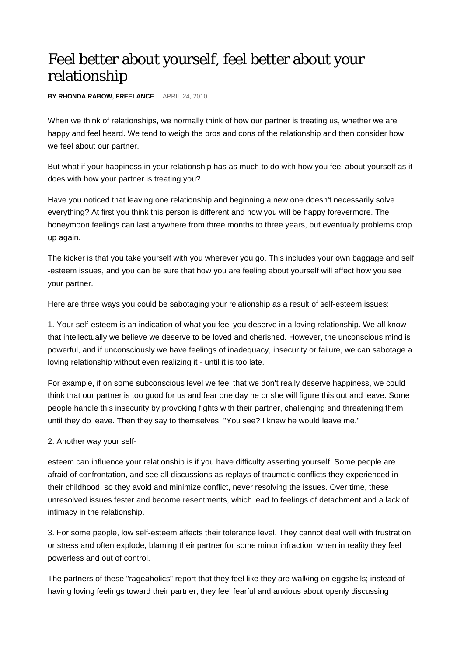## Feel better about yourself, feel better about your relationship

**BY RHONDA RABOW, FREELANCE** APRIL 24, 2010

When we think of relationships, we normally think of how our partner is treating us, whether we are happy and feel heard. We tend to weigh the pros and cons of the relationship and then consider how we feel about our partner.

But what if your happiness in your relationship has as much to do with how you feel about yourself as it does with how your partner is treating you?

Have you noticed that leaving one relationship and beginning a new one doesn't necessarily solve everything? At first you think this person is different and now you will be happy forevermore. The honeymoon feelings can last anywhere from three months to three years, but eventually problems crop up again.

The kicker is that you take yourself with you wherever you go. This includes your own baggage and self -esteem issues, and you can be sure that how you are feeling about yourself will affect how you see your partner.

Here are three ways you could be sabotaging your relationship as a result of self-esteem issues:

1. Your self-esteem is an indication of what you feel you deserve in a loving relationship. We all know that intellectually we believe we deserve to be loved and cherished. However, the unconscious mind is powerful, and if unconsciously we have feelings of inadequacy, insecurity or failure, we can sabotage a loving relationship without even realizing it - until it is too late.

For example, if on some subconscious level we feel that we don't really deserve happiness, we could think that our partner is too good for us and fear one day he or she will figure this out and leave. Some people handle this insecurity by provoking fights with their partner, challenging and threatening them until they do leave. Then they say to themselves, "You see? I knew he would leave me."

2. Another way your self-

esteem can influence your relationship is if you have difficulty asserting yourself. Some people are afraid of confrontation, and see all discussions as replays of traumatic conflicts they experienced in their childhood, so they avoid and minimize conflict, never resolving the issues. Over time, these unresolved issues fester and become resentments, which lead to feelings of detachment and a lack of intimacy in the relationship.

3. For some people, low self-esteem affects their tolerance level. They cannot deal well with frustration or stress and often explode, blaming their partner for some minor infraction, when in reality they feel powerless and out of control.

The partners of these "rageaholics" report that they feel like they are walking on eggshells; instead of having loving feelings toward their partner, they feel fearful and anxious about openly discussing